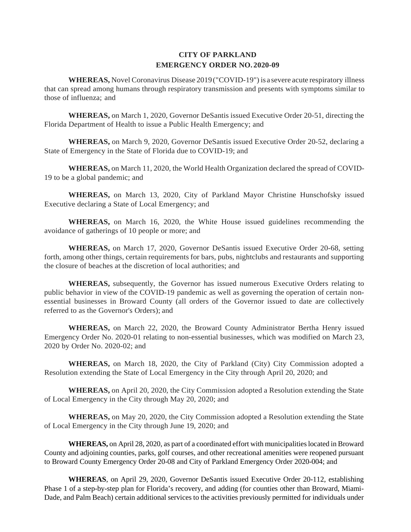# **EMERGENCY ORDER NO. 2020-09 CITY OF PARKLAND**

 **WHEREAS,** Novel Coronavirus Disease 2019 ("COVID-19") is a severe acute respiratory illness that can spread among humans through respiratory transmission and presents with symptoms similar to those of influenza; and

 Florida Department of Health to issue a Public Health Emergency; and **WHEREAS,** on March 1, 2020, Governor DeSantis issued Executive Order 20-51, directing the

 State of Emergency in the State of Florida due to COVID-19; and **WHEREAS,** on March 9, 2020, Governor DeSantis issued Executive Order 20-52, declaring a

**WHEREAS,** on March 11, 2020, the World Health Organization declared the spread of COVID-19 to be a global pandemic; and

**WHEREAS,** on March 13, 2020, City of Parkland Mayor Christine Hunschofsky issued Executive declaring a State of Local Emergency; and

 avoidance of gatherings of 10 people or more; and **WHEREAS,** on March 16, 2020, the White House issued guidelines recommending the

 **WHEREAS,** on March 17, 2020, Governor DeSantis issued Executive Order 20-68, setting forth, among other things, certain requirements for bars, pubs, nightclubs and restaurants and supporting the closure of beaches at the discretion of local authorities; and

 **WHEREAS,** subsequently, the Governor has issued numerous Executive Orders relating to public behavior in view of the COVID-19 pandemic as well as governing the operation of certain non- essential businesses in Broward County (all orders of the Governor issued to date are collectively referred to as the Governor's Orders); and

 **WHEREAS,** on March 22, 2020, the Broward County Administrator Bertha Henry issued Emergency Order No. 2020-01 relating to non-essential businesses, which was modified on March 23, 2020 by Order No. 2020-02; and

 **WHEREAS,** on March 18, 2020, the City of Parkland (City) City Commission adopted a Resolution extending the State of Local Emergency in the City through April 20, 2020; and

**WHEREAS,** on April 20, 2020, the City Commission adopted a Resolution extending the State of Local Emergency in the City through May 20, 2020; and

 of Local Emergency in the City through June 19, 2020; and **WHEREAS,** on May 20, 2020, the City Commission adopted a Resolution extending the State

**WHEREAS,** on April 28, 2020, as part of a coordinated effort with municipalities located in Broward County and adjoining counties, parks, golf courses, and other recreational amenities were reopened pursuant to Broward County Emergency Order 20-08 and City of Parkland Emergency Order 2020-004; and

**WHEREAS**, on April 29, 2020, Governor DeSantis issued Executive Order 20-112, establishing Phase 1 of a step-by-step plan for Florida's recovery, and adding (for counties other than Broward, Miami-Dade, and Palm Beach) certain additional services to the activities previously permitted for individuals under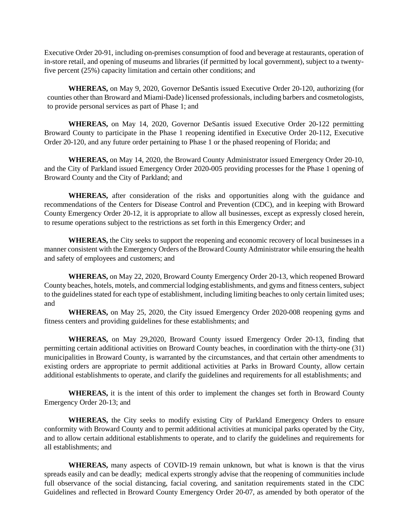Executive Order 20-91, including on-premises consumption of food and beverage at restaurants, operation of in-store retail, and opening of museums and libraries (if permitted by local government), subject to a twentyfive percent (25%) capacity limitation and certain other conditions; and

**WHEREAS,** on May 9, 2020, Governor DeSantis issued Executive Order 20-120, authorizing (for counties other than Broward and Miami-Dade) licensed professionals, including barbers and cosmetologists, to provide personal services as part of Phase 1; and

 **WHEREAS,** on May 14, 2020, Governor DeSantis issued Executive Order 20-122 permitting Broward County to participate in the Phase 1 reopening identified in Executive Order 20-112, Executive Order 20-120, and any future order pertaining to Phase 1 or the phased reopening of Florida; and

 Broward County and the City of Parkland; and **WHEREAS,** on May 14, 2020, the Broward County Administrator issued Emergency Order 20-10, and the City of Parkland issued Emergency Order 2020-005 providing processes for the Phase 1 opening of

 **WHEREAS,** after consideration of the risks and opportunities along with the guidance and County Emergency Order 20-12, it is appropriate to allow all businesses, except as expressly closed herein, to resume operations subject to the restrictions as set forth in this Emergency Order; and recommendations of the Centers for Disease Control and Prevention (CDC), and in keeping with Broward

 **WHEREAS,** the City seeks to support the reopening and economic recovery of local businesses in a manner consistent with the Emergency Orders of the Broward County Administrator while ensuring the health and safety of employees and customers; and

 to the guidelines stated for each type of establishment, including limiting beaches to only certain limited uses; **WHEREAS,** on May 22, 2020, Broward County Emergency Order 20-13, which reopened Broward County beaches, hotels, motels, and commercial lodging establishments, and gyms and fitness centers, subject and

**WHEREAS,** on May 25, 2020, the City issued Emergency Order 2020-008 reopening gyms and fitness centers and providing guidelines for these establishments; and

 additional establishments to operate, and clarify the guidelines and requirements for all establishments; and **WHEREAS,** on May 29,2020, Broward County issued Emergency Order 20-13, finding that permitting certain additional activities on Broward County beaches, in coordination with the thirty-one (31) municipalities in Broward County, is warranted by the circumstances, and that certain other amendments to existing orders are appropriate to permit additional activities at Parks in Broward County, allow certain

**WHEREAS,** it is the intent of this order to implement the changes set forth in Broward County Emergency Order 20-13; and

 **WHEREAS,** the City seeks to modify existing City of Parkland Emergency Orders to ensure conformity with Broward County and to permit additional activities at municipal parks operated by the City, and to allow certain additional establishments to operate, and to clarify the guidelines and requirements for all establishments; and

 full observance of the social distancing, facial covering, and sanitation requirements stated in the CDC **WHEREAS,** many aspects of COVID-19 remain unknown, but what is known is that the virus spreads easily and can be deadly; medical experts strongly advise that the reopening of communities include Guidelines and reflected in Broward County Emergency Order 20-07, as amended by both operator of the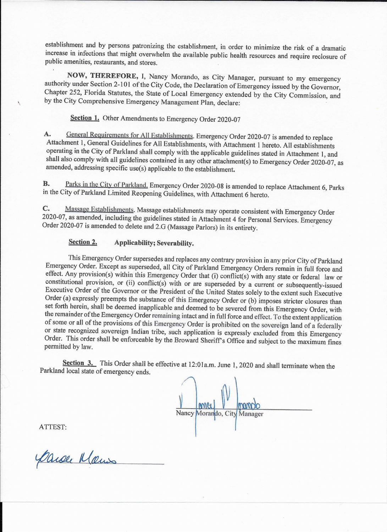establishment and by persons patronizing the establishment, in order to minimize the risk of a dramatic increase in infections that might overwhelm the available public health resources and require reclosure of public amenities, restaurants, and stores. .

**NOW, THEREFORE,** I, Nancy Morando, as City Manager, pursuant to my emergency authority under Section 2-101 of the City Code, the Declaration of Emergency issued by the Governor, Chapter 252, Florida Statutes, the State of Local Emergency extended by the City Commission, and by the City Comprehensive Emergency Management Plan, declare:

**Section 1.** Other Amendments to Emergency Order 2020-07

A. General Requirements for All Establishments. Emergency Order 2020-07 is amended to replace Attachment 1, General Guidelines for All Establishments, with Attachment 1 hereto. All establishments operating in the City of Parkland shall comply with the applicable guidelines stated in Attachment 1, and shall also comply with all guidelines contained in any other attachment(s) to Emergency Order 2020-07, as amended, addressing specific use(s) applicable to the establishment.

**B.** Parks in the City of Parkland, Emergency Order 2020-08 is amended to replace Attachment 6, Parks in the City of Parkland Limited Reopening Guidelines, with Attachment 6 hereto.

**C.** Massage Establishments. Massage establishments may operate consistent with Emergency Order 2020-07, as amended, including the guidelines stated in Attachment 4 for Personal Services. Emergency Order 2020-07 is amended to delete and 2.G (Massage Parlors) in its entirety.

**Section 3.** This Order shall be effective at 12:01a.m. June 1, 2020 and shall terminate when the Parkland local state of emergency ends.

Nancy Morando, City Manager

# **Section 2. Applicability; Severability.**

This Emergency Order supersedes and replaces any contrary provision in any prior City of Parkland Emergency Order. Except as superseded, all City of Parkland Emergency Orders remain in full force and effect. Any provision(s) within this Emergency Order that (i) conflict(s) with any state or federal law or constitutional provision, or (ii) conflict(s) with or are superseded by a current or subsequently-issued Executive Order of the Governor or the President of the United States solely to the extent such Executive Order (a) expressly preempts the substance of this Emergency Order or (b) imposes stricter closures than set forth herein, shall be deemed inapplicable and deemed to be severed from this Emergency Order, with the remainder of the Emergency Order remaining intact and in full force and effect. To the extent application of some or all of the provisions of this Emergency Order is prohibited on the sovereign land of a federally or state recognized sovereign Indian tribe, such application is expressly excluded from this Emergency Order. This order shall be enforceable by the Broward Sheriff's Office and subject to the maximum fines permitted by law.

ATTEST:

Carse Klaus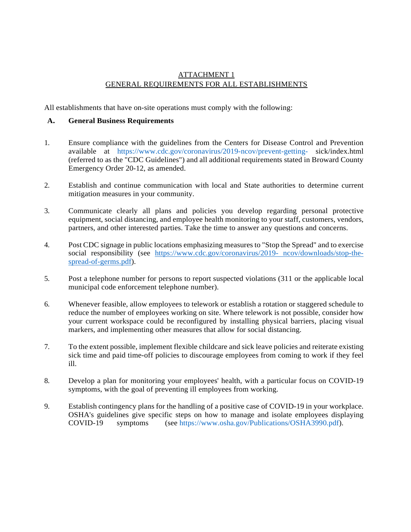## ATTACHMENT 1 GENERAL REQUIREMENTS FOR ALL ESTABLISHMENTS

All establishments that have on-site operations must comply with the following:

### **A. General Business Requirements**

- 1. Ensure compliance with the guidelines from the Centers for Disease Control and Prevention available at [https://www.cdc.gov/coronavirus/2019-ncov/prevent-getting-](http://www.cdc.gov/coronavirus/2019-ncov/prevent-getting) sick/index.html (referred to as the "CDC Guidelines") and all additional requirements stated in Broward County Emergency Order 20-12, as amended.
- 2. Establish and continue communication with local and State authorities to determine current mitigation measures in your community.
- partners, and other interested parties. Take the time to answer any questions and concerns. 3. Communicate clearly all plans and policies you develop regarding personal protective equipment, social distancing, and employee health monitoring to your staff, customers, vendors,
- 4. Post CDC signage in public locations emphasizing measures to "Stop the Spread" and to exercise social responsibility (see [https://www.cdc.gov/coronavirus/2019-](https://www.cdc.gov/coronavirus/2019-%20ncov/downloads/stop-the-spread-of-germs.pdf) ncov/downloads/stop-the[spread-of-germs.pdf\)](https://www.cdc.gov/coronavirus/2019-%20ncov/downloads/stop-the-spread-of-germs.pdf).
- 5. Post a telephone number for persons to report suspected violations (311 or the applicable local municipal code enforcement telephone number).
- your current workspace could be reconfigured by installing physical barriers, placing visual 6. Whenever feasible, allow employees to telework or establish a rotation or staggered schedule to reduce the number of employees working on site. Where telework is not possible, consider how markers, and implementing other measures that allow for social distancing.
- sick time and paid time-off policies to discourage employees from coming to work if they feel 7. To the extent possible, implement flexible childcare and sick leave policies and reiterate existing ill.
- symptoms, with the goal of preventing ill employees from working. 8. Develop a plan for monitoring your employees' health, with a particular focus on COVID-19
- 9. Establish contingency plans for the handling of a positive case of COVID-19 in your workplace. OSHA's guidelines give specific steps on how to manage and isolate employees displaying COVID-19 symptoms (see [https://www.osha.gov/Publications/OSHA3990.pdf\)](http://www.osha.gov/Publications/OSHA3990.pdf)).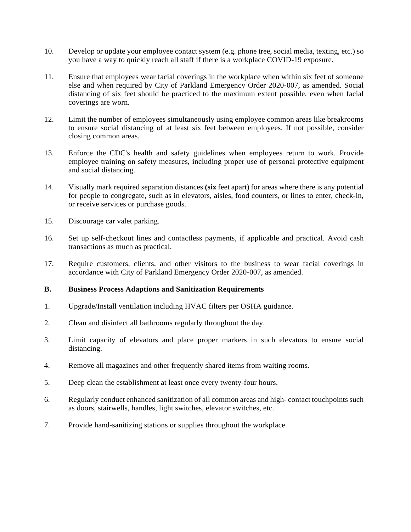- 10. Develop or update your employee contact system (e.g. phone tree, social media, texting, etc.) so you have a way to quickly reach all staff if there is a workplace COVID-19 exposure.
- 11. Ensure that employees wear facial coverings in the workplace when within six feet of someone else and when required by City of Parkland Emergency Order 2020-007, as amended. Social distancing of six feet should be practiced to the maximum extent possible, even when facial coverings are worn.
- 12. Limit the number of employees simultaneously using employee common areas like breakrooms to ensure social distancing of at least six feet between employees. If not possible, consider closing common areas.
- 13. Enforce the CDC's health and safety guidelines when employees return to work. Provide employee training on safety measures, including proper use of personal protective equipment and social distancing.
- 14. Visually mark required separation distances **(six** feet apart) for areas where there is any potential for people to congregate, such as in elevators, aisles, food counters, or lines to enter, check-in, or receive services or purchase goods.
- 15. Discourage car valet parking.
- 16. Set up self-checkout lines and contactless payments, if applicable and practical. Avoid cash transactions as much as practical.
- 17. Require customers, clients, and other visitors to the business to wear facial coverings in accordance with City of Parkland Emergency Order 2020-007, as amended.

#### **B. Business Process Adaptions and Sanitization Requirements**

- 1. Upgrade/Install ventilation including HVAC filters per OSHA guidance.
- 2. Clean and disinfect all bathrooms regularly throughout the day.
- 3. Limit capacity of elevators and place proper markers in such elevators to ensure social distancing.
- 4. Remove all magazines and other frequently shared items from waiting rooms.
- 5. Deep clean the establishment at least once every twenty-four hours.
- as doors, stairwells, handles, light switches, elevator switches, etc. 6. Regularly conduct enhanced sanitization of all common areas and high- contact touchpoints such
- 7. Provide hand-sanitizing stations or supplies throughout the workplace.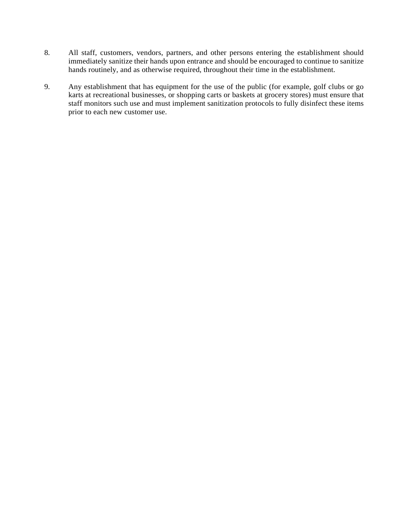- immediately sanitize their hands upon entrance and should be encouraged to continue to sanitize hands routinely, and as otherwise required, throughout their time in the establishment. 8. All staff, customers, vendors, partners, and other persons entering the establishment should
- 9. Any establishment that has equipment for the use of the public (for example, golf clubs or go karts at recreational businesses, or shopping carts or baskets at grocery stores) must ensure that staff monitors such use and must implement sanitization protocols to fully disinfect these items prior to each new customer use.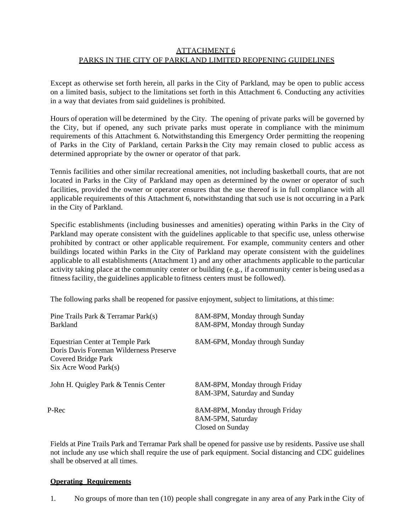## ATTACHMENT 6 PARKS IN THE CITY OF PARKLAND LIMITED REOPENING GUIDELINES

 Except as otherwise set forth herein, all parks in the City of Parkland, may be open to public access on a limited basis, subject to the limitations set forth in this Attachment 6. Conducting any activities in a way that deviates from said guidelines is prohibited.

 Hours of operation will be determined by the City. The opening of private parks will be governed by the City, but if opened, any such private parks must operate in compliance with the minimum requirements of this Attachment 6. Notwithstanding this Emergency Order permitting the reopening of Parks in the City of Parkland, certain Parks in the City may remain closed to public access as determined appropriate by the owner or operator of that park.

 Tennis facilities and other similar recreational amenities, not including basketball courts, that are not located in Parks in the City of Parkland may open as determined by the owner or operator of such applicable requirements of this Attachment 6, notwithstanding that such use is not occurring in a Park facilities, provided the owner or operator ensures that the use thereof is in full compliance with all in the City of Parkland.

 Parkland may operate consistent with the guidelines applicable to that specific use, unless otherwise prohibited by contract or other applicable requirement. For example, community centers and other applicable to all establishments (Attachment 1) and any other attachments applicable to the particular activity taking place at the community center or building (e.g., if a community center is being used as a fitness facility, the guidelines applicable to fitness centers must be followed). Specific establishments (including businesses and amenities) operating within Parks in the City of buildings located within Parks in the City of Parkland may operate consistent with the guidelines

The following parks shall be reopened for passive enjoyment, subject to limitations, at this time:

| Pine Trails Park & Terramar Park(s)<br><b>Barkland</b>                                                                           | 8AM-8PM, Monday through Sunday<br>8AM-8PM, Monday through Sunday        |
|----------------------------------------------------------------------------------------------------------------------------------|-------------------------------------------------------------------------|
| Equestrian Center at Temple Park<br>Doris Davis Foreman Wilderness Preserve<br>Covered Bridge Park<br>$Six$ Acre Wood Park $(s)$ | 8AM-6PM, Monday through Sunday                                          |
| John H. Quigley Park & Tennis Center                                                                                             | 8AM-8PM, Monday through Friday<br>8AM-3PM, Saturday and Sunday          |
| P-Rec                                                                                                                            | 8AM-8PM, Monday through Friday<br>8AM-5PM, Saturday<br>Closed on Sunday |

 not include any use which shall require the use of park equipment. Social distancing and CDC guidelines Fields at Pine Trails Park and Terramar Park shall be opened for passive use by residents. Passive use shall shall be observed at all times.

#### **Operating Requirements**

1. No groups of more than ten (10) people shall congregate in any area of any Park in the City of